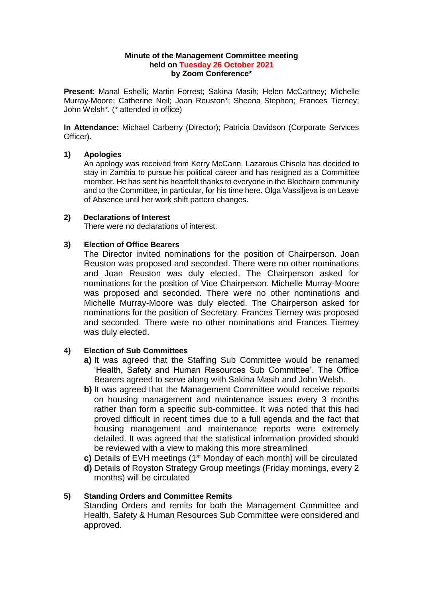#### **Minute of the Management Committee meeting held on Tuesday 26 October 2021 by Zoom Conference\***

**Present**: Manal Eshelli; Martin Forrest; Sakina Masih; Helen McCartney; Michelle Murray-Moore; Catherine Neil; Joan Reuston\*; Sheena Stephen; Frances Tierney; John Welsh\*. (\* attended in office)

**In Attendance:** Michael Carberry (Director); Patricia Davidson (Corporate Services Officer).

# **1) Apologies**

An apology was received from Kerry McCann. Lazarous Chisela has decided to stay in Zambia to pursue his political career and has resigned as a Committee member. He has sent his heartfelt thanks to everyone in the Blochairn community and to the Committee, in particular, for his time here. Olga Vassiljeva is on Leave of Absence until her work shift pattern changes.

# **2) Declarations of Interest**

There were no declarations of interest.

# **3) Election of Office Bearers**

The Director invited nominations for the position of Chairperson. Joan Reuston was proposed and seconded. There were no other nominations and Joan Reuston was duly elected. The Chairperson asked for nominations for the position of Vice Chairperson. Michelle Murray-Moore was proposed and seconded. There were no other nominations and Michelle Murray-Moore was duly elected. The Chairperson asked for nominations for the position of Secretary. Frances Tierney was proposed and seconded. There were no other nominations and Frances Tierney was duly elected.

# **4) Election of Sub Committees**

- **a)** It was agreed that the Staffing Sub Committee would be renamed 'Health, Safety and Human Resources Sub Committee'. The Office Bearers agreed to serve along with Sakina Masih and John Welsh.
- **b)** It was agreed that the Management Committee would receive reports on housing management and maintenance issues every 3 months rather than form a specific sub-committee. It was noted that this had proved difficult in recent times due to a full agenda and the fact that housing management and maintenance reports were extremely detailed. It was agreed that the statistical information provided should be reviewed with a view to making this more streamlined
- **c)** Details of EVH meetings (1<sup>st</sup> Monday of each month) will be circulated
- **d)** Details of Royston Strategy Group meetings (Friday mornings, every 2 months) will be circulated

# **5) Standing Orders and Committee Remits**

Standing Orders and remits for both the Management Committee and Health, Safety & Human Resources Sub Committee were considered and approved.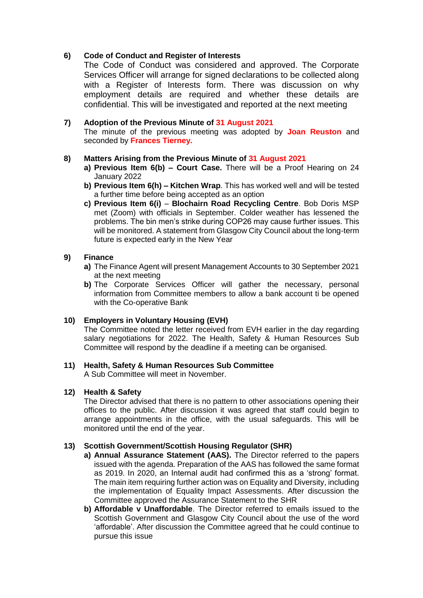# **6) Code of Conduct and Register of Interests**

The Code of Conduct was considered and approved. The Corporate Services Officer will arrange for signed declarations to be collected along with a Register of Interests form. There was discussion on why employment details are required and whether these details are confidential. This will be investigated and reported at the next meeting

# **7) Adoption of the Previous Minute of 31 August 2021**

The minute of the previous meeting was adopted by **Joan Reuston** and seconded by **Frances Tierney.**

# **8) Matters Arising from the Previous Minute of 31 August 2021**

- **a) Previous Item 6(b) – Court Case.** There will be a Proof Hearing on 24 January 2022
- **b) Previous Item 6(h) – Kitchen Wrap**. This has worked well and will be tested a further time before being accepted as an option
- **c) Previous Item 6(i) Blochairn Road Recycling Centre**. Bob Doris MSP met (Zoom) with officials in September. Colder weather has lessened the problems. The bin men's strike during COP26 may cause further issues. This will be monitored. A statement from Glasgow City Council about the long-term future is expected early in the New Year

# **9) Finance**

- **a)** The Finance Agent will present Management Accounts to 30 September 2021 at the next meeting
- **b)** The Corporate Services Officer will gather the necessary, personal information from Committee members to allow a bank account ti be opened with the Co-operative Bank

# **10) Employers in Voluntary Housing (EVH)**

The Committee noted the letter received from EVH earlier in the day regarding salary negotiations for 2022. The Health, Safety & Human Resources Sub Committee will respond by the deadline if a meeting can be organised.

# **11) Health, Safety & Human Resources Sub Committee**

A Sub Committee will meet in November.

# **12) Health & Safety**

The Director advised that there is no pattern to other associations opening their offices to the public. After discussion it was agreed that staff could begin to arrange appointments in the office, with the usual safeguards. This will be monitored until the end of the year.

# **13) Scottish Government/Scottish Housing Regulator (SHR)**

- **a) Annual Assurance Statement (AAS).** The Director referred to the papers issued with the agenda. Preparation of the AAS has followed the same format as 2019. In 2020, an Internal audit had confirmed this as a 'strong' format. The main item requiring further action was on Equality and Diversity, including the implementation of Equality Impact Assessments. After discussion the Committee approved the Assurance Statement to the SHR
- **b) Affordable v Unaffordable**. The Director referred to emails issued to the Scottish Government and Glasgow City Council about the use of the word 'affordable'. After discussion the Committee agreed that he could continue to pursue this issue